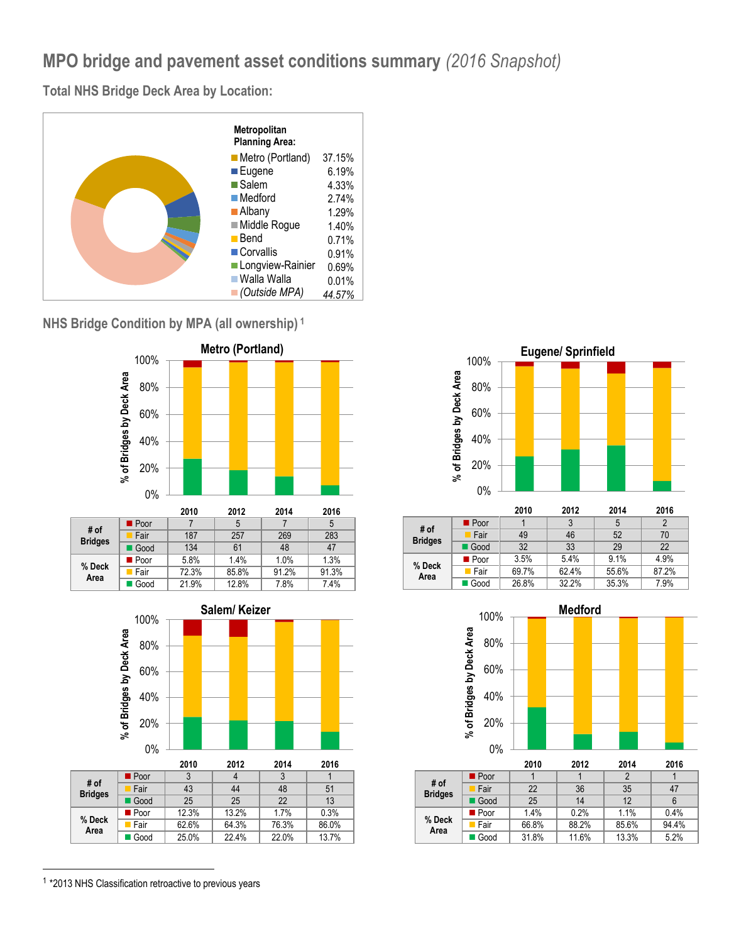## **MPO bridge and pavement asset conditions summary** *(2016 Snapshot)*

**Total NHS Bridge Deck Area by Location:**



**NHS Bridge Condition by MPA (all ownership) <sup>1</sup>**







|                |                     | 2010  | 2012  | 2014  | 2016  |
|----------------|---------------------|-------|-------|-------|-------|
| # of           | $\blacksquare$ Poor |       | 3     | 5     |       |
| <b>Bridges</b> | Fair                | 49    | 46    | 52    | 70    |
|                | Good                | 32    | 33    | 29    | 22    |
| % Deck<br>Area | ■ Poor              | 3.5%  | 5.4%  | 9.1%  | 4.9%  |
|                | Fair                | 69.7% | 62.4% | 55.6% | 87.2% |
|                | ■ Good              | 26.8% | 32.2% | 35.3% | 7.9%  |



|                        |        | 2010  | 2012  | 2014  | 2016  |
|------------------------|--------|-------|-------|-------|-------|
|                        | ■ Poor |       |       | 2     |       |
| # of<br><b>Bridges</b> | Fair   | 22    | 36    | 35    | 47    |
|                        | Good   | 25    | 14    | 12    | 6     |
|                        | ■ Poor | 1.4%  | 0.2%  | 1.1%  | 0.4%  |
| % Deck<br>Area         | Fair   | 66.8% | 88.2% | 85.6% | 94.4% |
|                        | Good   | 31.8% | 11.6% | 13.3% | 5.2%  |

<sup>1</sup> \*2013 NHS Classification retroactive to previous years

l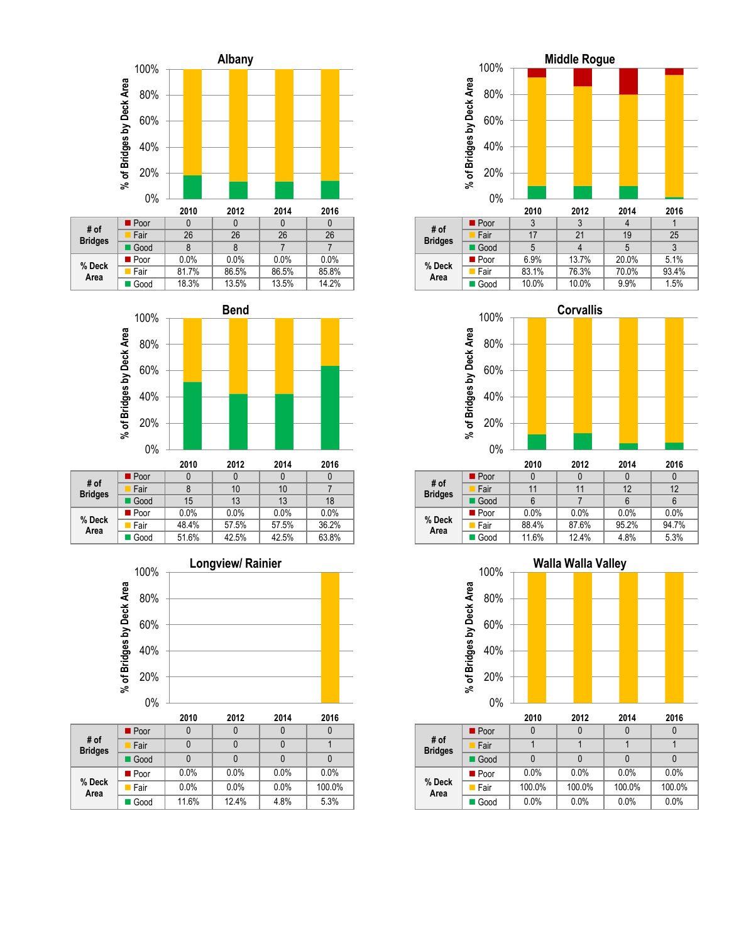



| $\boldsymbol{\pi}$ vi<br><b>Bridges</b> | Fair   |       | 10    | 10    |       |
|-----------------------------------------|--------|-------|-------|-------|-------|
|                                         | Good   | 15    | 13    | 13    | 18    |
| % Deck<br>Area                          | ■ Poor | 0.0%  | 0.0%  | 0.0%  | 0.0%  |
|                                         | Fair   | 48.4% | 57.5% | 57.5% | 36.2% |
|                                         | Good   | 51.6% | 42.5% | 42.5% | 63.8% |
|                                         |        |       |       |       |       |



|                        |                     | 2010  | 2012  | 2014 | 2016   |
|------------------------|---------------------|-------|-------|------|--------|
| # of<br><b>Bridges</b> | $\blacksquare$ Poor |       | 0     |      |        |
|                        | Fair                |       | 0     |      |        |
|                        | Good                |       |       |      |        |
| % Deck<br>Area         | ■ Poor              | 0.0%  | 0.0%  | 0.0% | 0.0%   |
|                        | <b>Fair</b>         | 0.0%  | 0.0%  | 0.0% | 100.0% |
|                        | Good                | 11.6% | 12.4% | 4.8% | 5.3%   |





|                        |        | 2010  | 2012  | 2014  | 2016  |
|------------------------|--------|-------|-------|-------|-------|
|                        | ■ Poor |       |       |       |       |
| # of<br><b>Bridges</b> | Fair   | 11    | 11    | 12    | 12    |
|                        | Good   |       |       | 6     |       |
| % Deck<br>Area         | ■ Poor | 0.0%  | 0.0%  | 0.0%  | 0.0%  |
|                        | Fair   | 88.4% | 87.6% | 95.2% | 94.7% |
|                        | ■ Good | 11.6% | 12.4% | 4.8%  | 5.3%  |



|                        |                     | 2010   | 2012   | 2014   | 2016   |
|------------------------|---------------------|--------|--------|--------|--------|
|                        | $\blacksquare$ Poor |        |        |        |        |
| # of<br><b>Bridges</b> | Fair                |        |        |        |        |
|                        | Good                |        |        |        |        |
| % Deck<br>Area         | ■ Poor              | 0.0%   | 0.0%   | 0.0%   | 0.0%   |
|                        | $\blacksquare$ Fair | 100.0% | 100.0% | 100.0% | 100.0% |
|                        | Good                | 0.0%   | 0.0%   | 0.0%   | 0.0%   |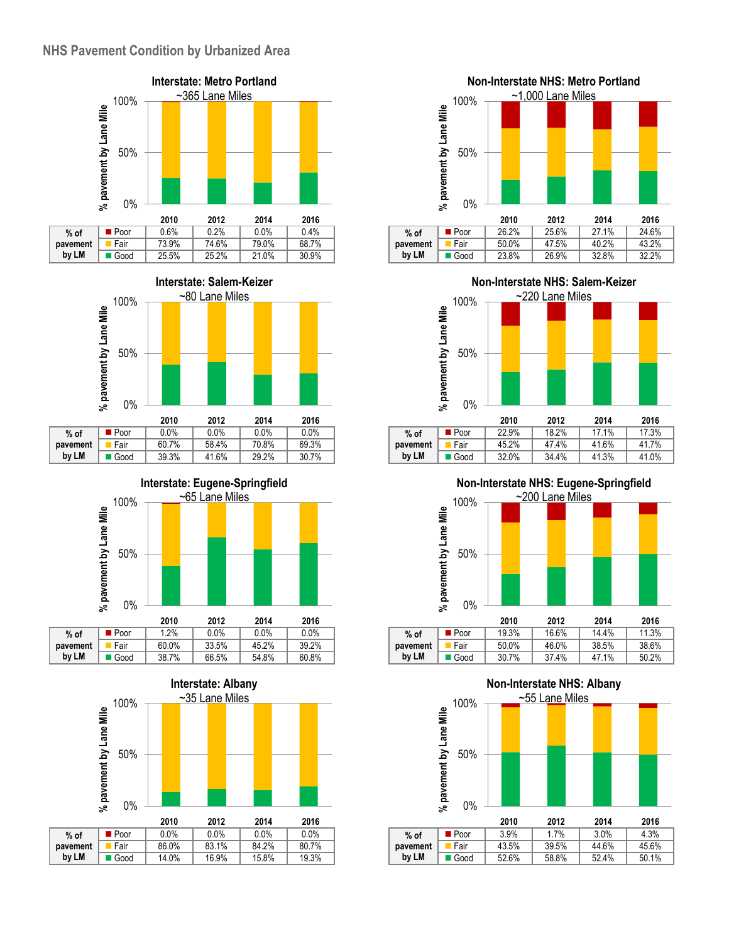





| $%$ of   | ∎ Poor | 0.0%  | $0.0\%$ | $0.0\%$ | $0.0\%$ |
|----------|--------|-------|---------|---------|---------|
| pavement | Fair   | 60.7% | 58.4%   | 70.8%   | 69.3%   |
| by LM    | ■ Good | 39.3% | 41.6%   | 29.2%   | 30.7%   |
|          |        |       |         |         |         |







 $\blacksquare$  Good

**by LM**



|          |                     | 2010  | 2012  | 2014  | 2016  |
|----------|---------------------|-------|-------|-------|-------|
| $%$ of   | $\blacksquare$ Poor | 22.9% | 18.2% | 17.1% | 17.3% |
| pavement | Fair                | 45.2% | 47.4% | 41.6% | 41.7% |
| by LM    | l Good              | 32.0% | 34.4% | 41.3% | 41.0% |

**Non-Interstate NHS: Eugene-Springfield**



**Non-Interstate NHS: Albany** ~55 Lane Miles100% % pavement by Lane Mile **% pavement by Lane Mile** 50% 0% **2010 2012 2014 2016 Poor** 3.9% 1.7% 3.0% 4.3% **% of** Fair 43.5% 39.5% 44.6% 45.6% **pavement by LM** Good 52.6% 58.8% 52.4% 50.1%